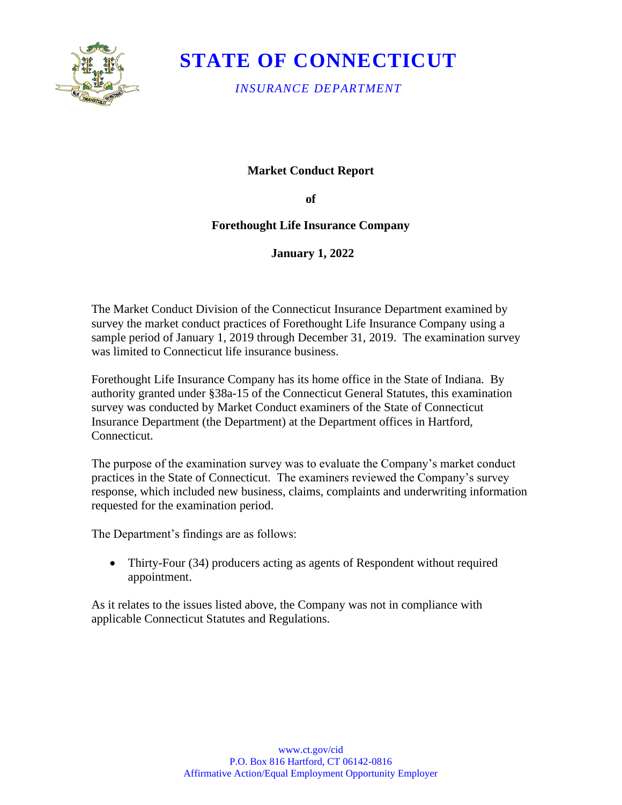

# **STATE OF CONNECTICUT**

*INSURANCE DEPARTMENT* 

### **Market Conduct Report**

**of** 

### **Forethought Life Insurance Company**

**January 1, 2022** 

The Market Conduct Division of the Connecticut Insurance Department examined by survey the market conduct practices of Forethought Life Insurance Company using a sample period of January 1, 2019 through December 31, 2019. The examination survey was limited to Connecticut life insurance business.

Forethought Life Insurance Company has its home office in the State of Indiana. By authority granted under §38a-15 of the Connecticut General Statutes, this examination survey was conducted by Market Conduct examiners of the State of Connecticut Insurance Department (the Department) at the Department offices in Hartford, Connecticut.

The purpose of the examination survey was to evaluate the Company's market conduct practices in the State of Connecticut. The examiners reviewed the Company's survey response, which included new business, claims, complaints and underwriting information requested for the examination period.

The Department's findings are as follows:

• Thirty-Four (34) producers acting as agents of Respondent without required appointment.

As it relates to the issues listed above, the Company was not in compliance with applicable Connecticut Statutes and Regulations.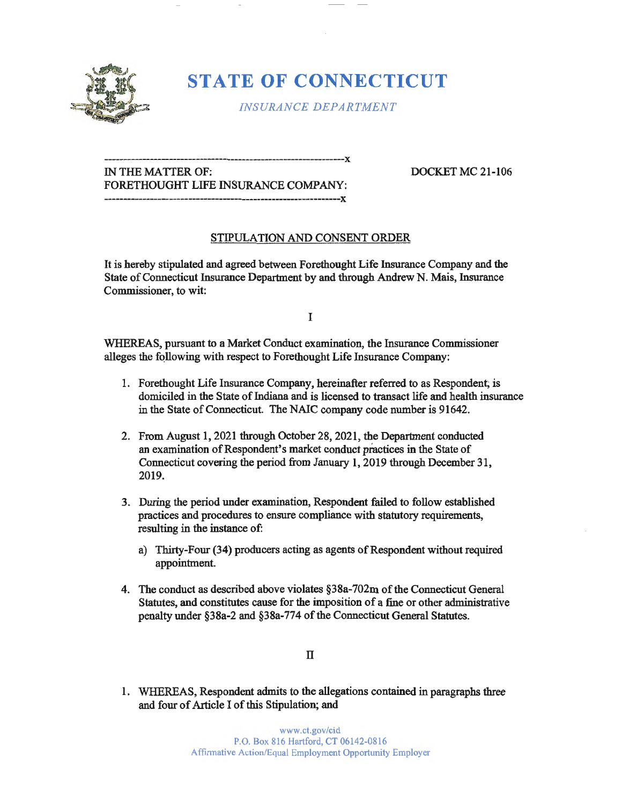

## **STATE OF CONNECTICUT**

*INSURANCE DEPARTMENT* 

### **---------------------------------------------------------------x**  IN THE MATTER OF: DOCKET MC 21-106 FORETHOUGHT LIFE INSURANCE COMPANY: -----~-----~-~------------------~-----------~------------x

### STIPULATION AND CONSENT ORDER

It is hereby stipulated and agreed between Forethought Life Insurance Company and the State of Connecticut Insurance Department by and through Andrew N. Mais, Insurance Commissioner, to wit:

I

WHEREAS, pursuant to a Market Conduct examination, the Insurance Commissioner alleges the following with respect to Forethought Life Insurance Company:

- 1. Forethought Life Insurance Company, hereinafter referred to as Respondent; is domiciled in the State of Indiana and is licensed to transact life and health insurance in the State of Connecticut. The NAIC company code number is 91642.
- 2. From August 1, 2021 through October 28, 2021, the Department conducted an examination of Respondent's market conduct practices in the State of Connecticut covering the period from January 1, 2019 through December 31, 2019.
- 3. During the period under examination, Respondent failed to follow established practices and procedures to ensure compliance with statutory requirements, resulting in the instance of:
	- a) Thirty-Four (34) producers acting as agents of Respondent without required appointment.
- 4. The conduct as described above violates §38a-702m of the Connecticut General Statutes, and constitutes cause for the imposition of a fine or other administrative penalty under §38a-2 and §38a-774 of the Connecticut General Statutes.

II

1. WHEREAS, Respondent admits to the allegations contained in paragraphs three and four of Article I of this Stipulation; and

> www.ct.gov/cid P.O. Box 816 Hartford, CT 06142-0816 Affirmative Action/Equal Employment Opportunity Employer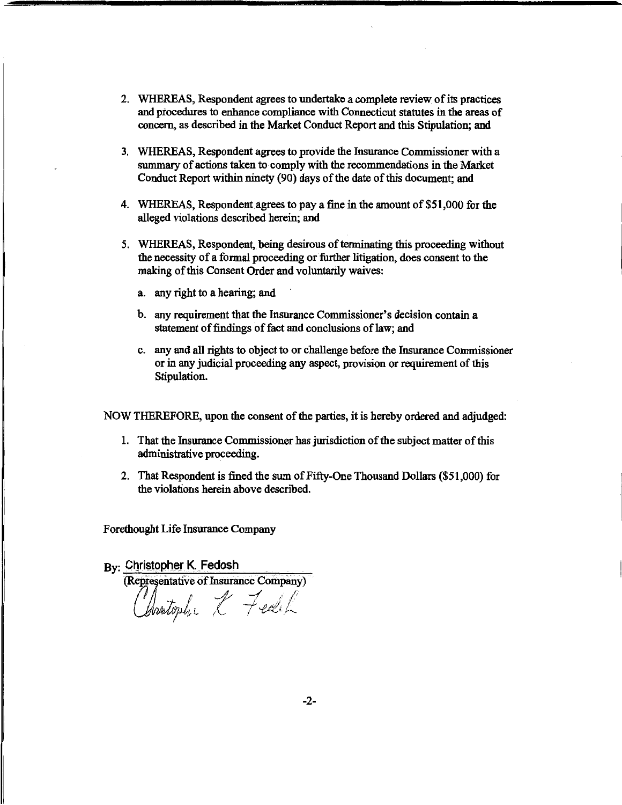- 2. WHEREAS, Respondent agrees to undertake a complete review of its practices and procedures to enhance compliance with Connecticut statutes in the areas of concern, as described in the Market Conduct Report and this Stipulation; and
- 3. WHEREAS, Respondent agrees to provide the Insurance Commissioner with a summary of actions taken to comply with the recommendations in the Market Conduct Report within ninety (90) days of the date of this document; and
- 4. WHEREAS, Respondent agrees to pay a fine in the amount of \$51,000 for the alleged violations described herein; and
- 5. WHEREAS, Respondent, being desirous of terminating this proceeding without the necessity of a formal proceeding or further litigation, does consent to the making of this Consent Order and voluntarily waives:
	- a. any right to a hearing; and
	- b. any requirement that the Insurance Commissioner's decision contain a statement of findings of fact and conclusions of law; and
	- c. any and all rights to object to or challenge before the Insurance Commissioner or in any judicial proceeding any aspect, provision or requirement of this Stipulation.

NOW THEREFORE, upon the consent of the parties, it is hereby ordered and adjudged:

- 1. That the Insurance Commissioner has jurisdiction of the subject matter of this administrative proceeding.
- 2. That Respondent is fined the sum of Fifty-One Thousand Dollars (\$51,000) for the violations herein above described.

Forethought Life Insurance Company

 $B_{\rm V}$ : Christopher K. Fedosh Representative of Insurance Company)<br>(*I*)  $\overline{t}$  of  $\overline{t}$ rtophi K Fedik